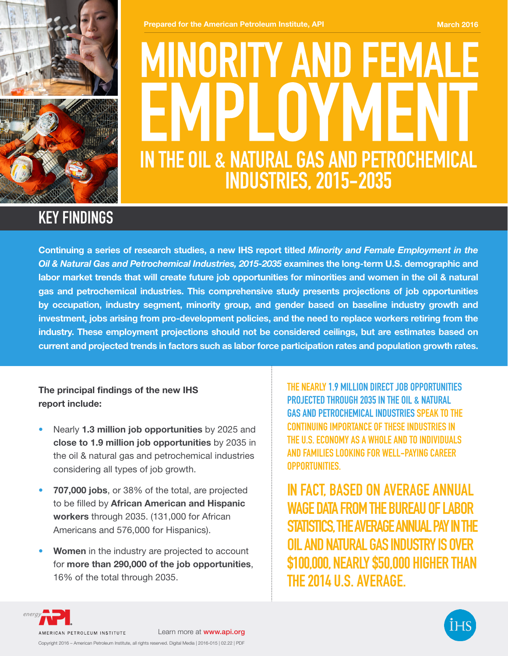

**Prepared for the American Petroleum Institute, API March 2016** March 2016

# MINORITY AND FEMA **IN THE OIL & NATURAL GAS AND PETROCHEMICAL INDUSTRIES, 2015-2035**

## **KEY FINDINGS**

Continuing a series of research studies, a new IHS report titled *Minority and Female Employment in the Oil & Natural Gas and Petrochemical Industries, 2015-2035* examines the long-term U.S. demographic and labor market trends that will create future job opportunities for minorities and women in the oil & natural gas and petrochemical industries. This comprehensive study presents projections of job opportunities by occupation, industry segment, minority group, and gender based on baseline industry growth and investment, jobs arising from pro-development policies, and the need to replace workers retiring from the industry. These employment projections should not be considered ceilings, but are estimates based on current and projected trends in factors such as labor force participation rates and population growth rates.

The principal findings of the new IHS report include:

- Nearly 1.3 million job opportunities by 2025 and close to 1.9 million job opportunities by 2035 in the oil & natural gas and petrochemical industries considering all types of job growth.
- 707,000 jobs, or 38% of the total, are projected to be filled by African American and Hispanic workers through 2035. (131,000 for African Americans and 576,000 for Hispanics).
- Women in the industry are projected to account for more than 290,000 of the job opportunities, 16% of the total through 2035.

**THE NEARLY 1.9 MILLION DIRECT JOB OPPORTUNITIES PROJECTED THROUGH 2035 IN THE OIL & NATURAL GAS AND PETROCHEMICAL INDUSTRIES SPEAK TO THE CONTINUING IMPORTANCE OF THESE INDUSTRIES IN THE U.S. ECONOMY AS A WHOLE AND TO INDIVIDUALS AND FAMILIES LOOKING FOR WELL-PAYING CAREER OPPORTUNITIES.**

**IN FACT, BASED ON AVERAGE ANNUAL WAGE DATA FROM THE BUREAU OF LABOR STATISTICS, THE AVERAGE ANNUAL PAY IN THE OIL AND NATURAL GAS INDUSTRY IS OVER \$100,000, NEARLY \$50,000 HIGHER THAN THE 2014 U.S. AVERAGE.**